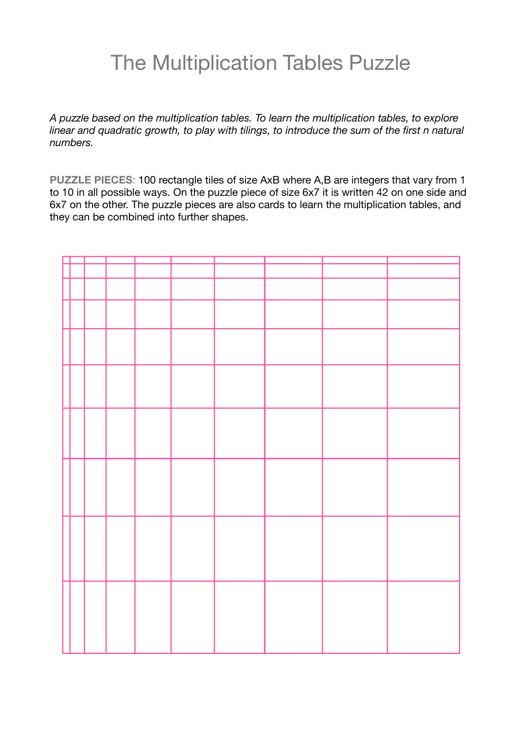## The Multiplication Tables Puzzle

*A puzzle based on the multiplication tables. To learn the multiplication tables, to explore linear and quadratic growth, to play with tilings, to introduce the sum of the first n natural numbers.* 

**PUZZLE PIECES**: 100 rectangle tiles of size AxB where A,B are integers that vary from 1 to 10 in all possible ways. On the puzzle piece of size 6x7 it is written 42 on one side and 6x7 on the other. The puzzle pieces are also cards to learn the multiplication tables, and they can be combined into further shapes.